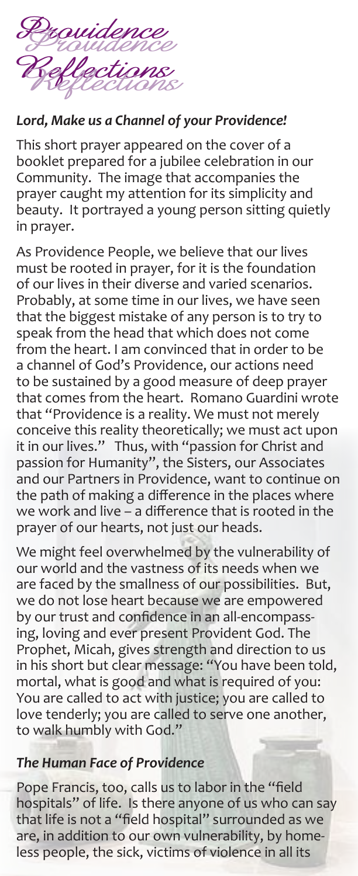

## *Lord, Make us a Channel of your Providence!*

This short prayer appeared on the cover of a booklet prepared for a jubilee celebration in our Community. The image that accompanies the prayer caught my attention for its simplicity and beauty. It portrayed a young person sitting quietly in prayer.

As Providence People, we believe that our lives must be rooted in prayer, for it is the foundation of our lives in their diverse and varied scenarios. Probably, at some time in our lives, we have seen that the biggest mistake of any person is to try to speak from the head that which does not come from the heart. I am convinced that in order to be a channel of God's Providence, our actions need to be sustained by a good measure of deep prayer that comes from the heart. Romano Guardini wrote that "Providence is a reality. We must not merely conceive this reality theoretically; we must act upon it in our lives." Thus, with "passion for Christ and passion for Humanity", the Sisters, our Associates and our Partners in Providence, want to continue on the path of making a difference in the places where we work and live – a difference that is rooted in the prayer of our hearts, not just our heads.

We might feel overwhelmed by the vulnerability of our world and the vastness of its needs when we are faced by the smallness of our possibilities. But, we do not lose heart because we are empowered by our trust and confidence in an all-encompassing, loving and ever present Provident God. The Prophet, Micah, gives strength and direction to us in his short but clear message: "You have been told, mortal, what is good and what is required of you: You are called to act with justice; you are called to love tenderly; you are called to serve one another, to walk humbly with God."

## *The Human Face of Providence*

Pope Francis, too, calls us to labor in the "field hospitals" of life. Is there anyone of us who can say that life is not a "field hospital" surrounded as we are, in addition to our own vulnerability, by homeless people, the sick, victims of violence in all its